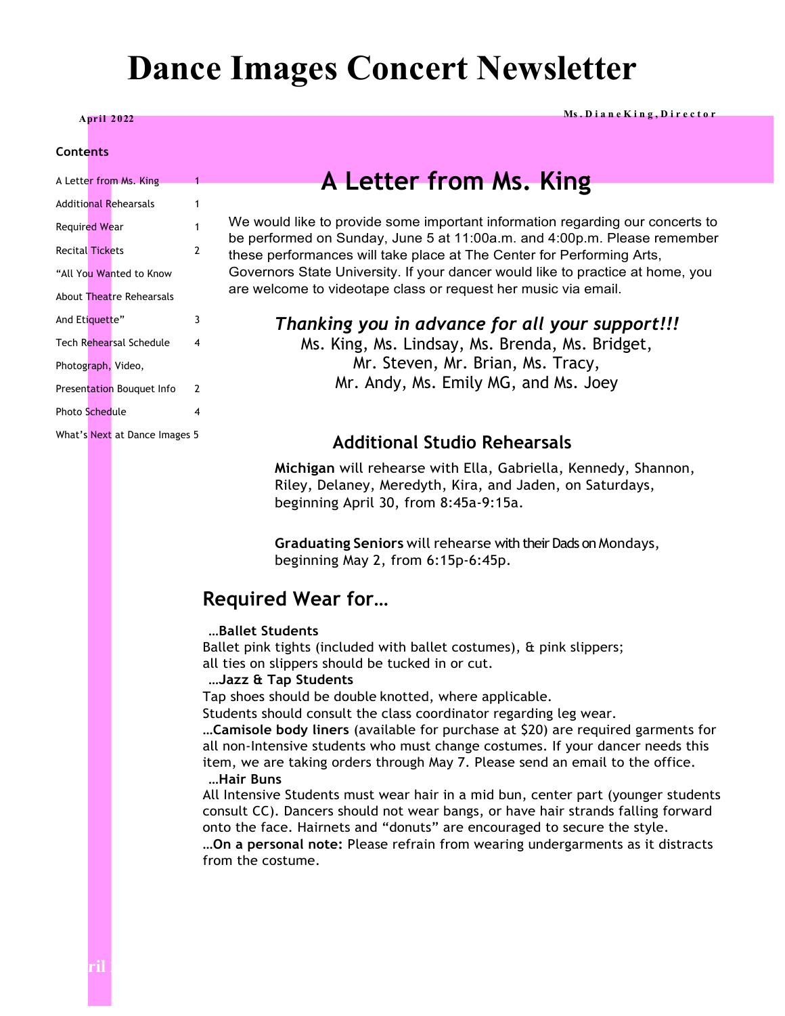# **Dance Images Concert Newsletter**

**Apr il <sup>2022</sup> Ms . D i a n e K i n g , D i r e c t o r**

#### **Contents**

|                        | A Letter from Ms. King        | 1 |
|------------------------|-------------------------------|---|
|                        | Additional Rehearsals         | 1 |
| <b>Required Wear</b>   |                               | 1 |
| <b>Recital Tickets</b> |                               | 2 |
|                        | "All You Wanted to Know       |   |
|                        | About Theatre Rehearsals      |   |
| And Etiquette"         |                               | 3 |
|                        | Tech Rehearsal Schedule       | 4 |
| Photograph, Video,     |                               |   |
|                        | Presentation Bouquet Info     | 2 |
| <b>Photo Schedule</b>  |                               | 4 |
|                        | What's Next at Dance Images 5 |   |

# **A Letter from Ms. King**

We would like to provide some important information regarding our concerts to be performed on Sunday, June 5 at 11:00a.m. and 4:00p.m. Please remember these performances will take place at The Center for Performing Arts, Governors State University. If your dancer would like to practice at home, you are welcome to videotape class or request her music via email.

#### *Thanking you in advance for all your support!!!*

Ms. King, Ms. Lindsay, Ms. Brenda, Ms. Bridget, Mr. Steven, Mr. Brian, Ms. Tracy, Mr. Andy, Ms. Emily MG, and Ms. Joey

#### **Additional Studio Rehearsals**

**Michigan** will rehearse with Ella, Gabriella, Kennedy, Shannon, Riley, Delaney, Meredyth, Kira, and Jaden, on Saturdays, beginning April 30, from 8:45a-9:15a.

**Graduating Seniors** will rehearse with their Dads on Mondays, beginning May 2, from 6:15p-6:45p.

#### **Required Wear for…**

#### **…Ballet Students**

Ballet pink tights (included with ballet costumes), & pink slippers; all ties on slippers should be tucked in or cut.

#### **…Jazz & Tap Students**

Tap shoes should be double knotted, where applicable.

Students should consult the class coordinator regarding leg wear.

…**Camisole body liners** (available for purchase at \$20) are required garments for all non-Intensive students who must change costumes. If your dancer needs this item, we are taking orders through May 7. Please send an email to the office. **…Hair Buns**

All Intensive Students must wear hair in a mid bun, center part (younger students consult CC). Dancers should not wear bangs, or have hair strands falling forward onto the face. Hairnets and "donuts" are encouraged to secure the style.

**…On a personal note:** Please refrain from wearing undergarments as it distracts from the costume.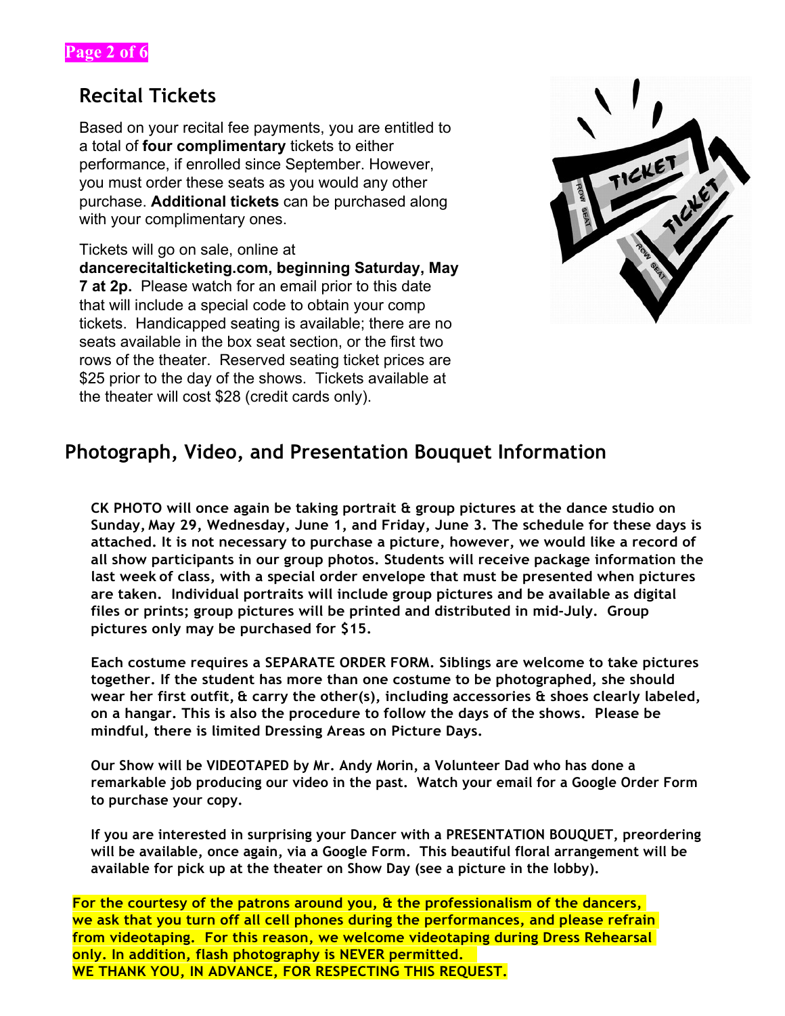### **Recital Tickets**

Based on your recital fee payments, you are entitled to a total of **four complimentary** tickets to either performance, if enrolled since September. However, you must order these seats as you would any other purchase. **Additional tickets** can be purchased along with your complimentary ones.

Tickets will go on sale, online at **dancerecitalticketing.com, beginning Saturday, May 7 at 2p.** Please watch for an email prior to this date that will include a special code to obtain your comp tickets. Handicapped seating is available; there are no seats available in the box seat section, or the first two rows of the theater. Reserved seating ticket prices are \$25 prior to the day of the shows. Tickets available at the theater will cost \$28 (credit cards only).



# **Photograph, Video, and Presentation Bouquet Information**

**CK PHOTO will once again be taking portrait & group pictures at the dance studio on Sunday, May 29, Wednesday, June 1, and Friday, June 3. The schedule for these days is attached. It is not necessary to purchase a picture, however, we would like a record of all show participants in our group photos. Students will receive package information the last week of class, with a special order envelope that must be presented when pictures are taken. Individual portraits will include group pictures and be available as digital files or prints; group pictures will be printed and distributed in mid-July. Group pictures only may be purchased for \$15.**

**Each costume requires a SEPARATE ORDER FORM. Siblings are welcome to take pictures together. If the student has more than one costume to be photographed, she should wear her first outfit, & carry the other(s), including accessories & shoes clearly labeled, on a hangar. This is also the procedure to follow the days of the shows. Please be mindful, there is limited Dressing Areas on Picture Days.**

**Our Show will be VIDEOTAPED by Mr. Andy Morin, a Volunteer Dad who has done a remarkable job producing our video in the past. Watch your email for a Google Order Form to purchase your copy.**

**If you are interested in surprising your Dancer with a PRESENTATION BOUQUET, preordering will be available, once again, via a Google Form. This beautiful floral arrangement will be available for pick up at the theater on Show Day (see a picture in the lobby).**

**For the courtesy of the patrons around you, & the professionalism of the dancers, we ask that you turn off all cell phones during the performances, and please refrain from videotaping. For this reason, we welcome videotaping during Dress Rehearsal only. In addition, flash photography is NEVER permitted. WE THANK YOU, IN ADVANCE, FOR RESPECTING THIS REQUEST.**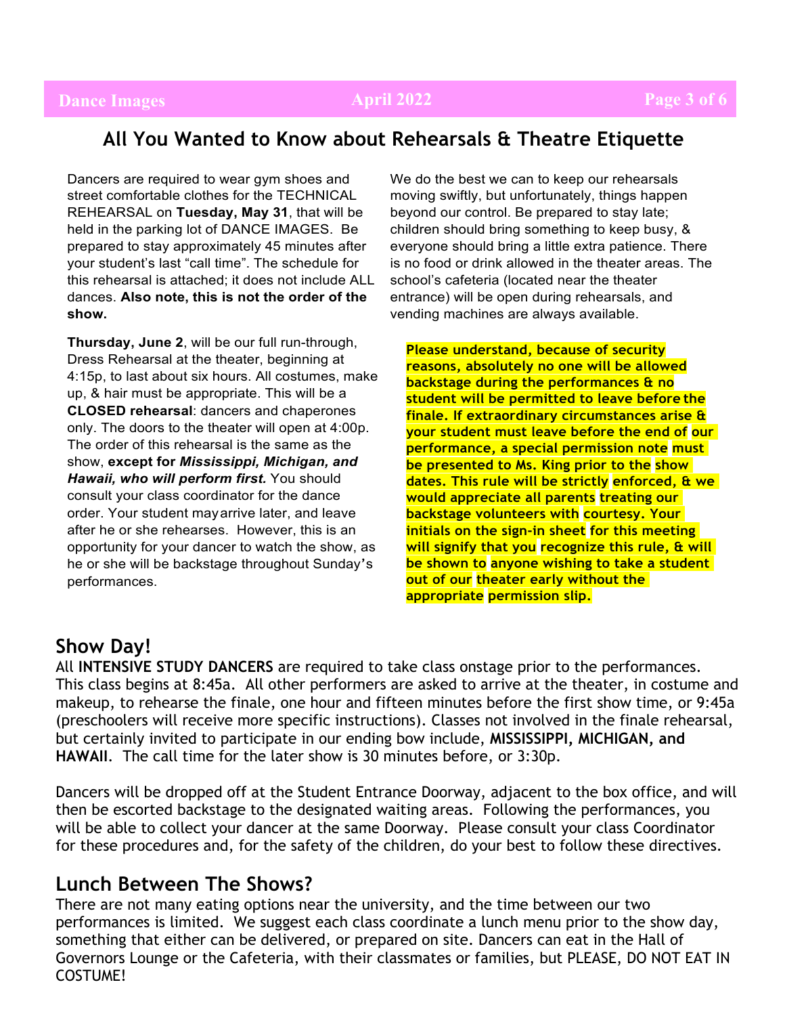### **Dance Images April 2022 Page 3 of 6**

### **All You Wanted to Know about Rehearsals & Theatre Etiquette**

Dancers are required to wear gym shoes and street comfortable clothes for the TECHNICAL REHEARSAL on **Tuesday, May 31**, that will be held in the parking lot of DANCE IMAGES. Be prepared to stay approximately 45 minutes after your student's last "call time". The schedule for this rehearsal is attached; it does not include ALL dances. **Also note, this is not the order of the show.**

**Thursday, June 2**, will be our full run-through, Dress Rehearsal at the theater, beginning at 4:15p, to last about six hours. All costumes, make up, & hair must be appropriate. This will be a **CLOSED rehearsal**: dancers and chaperones only. The doors to the theater will open at 4:00p. The order of this rehearsal is the same as the show, **except for** *Mississippi, Michigan, and Hawaii, who will perform first.* You should consult your class coordinator for the dance order. Your student mayarrive later, and leave after he or she rehearses. However, this is an opportunity for your dancer to watch the show, as he or she will be backstage throughout Sunday's performances.

We do the best we can to keep our rehearsals moving swiftly, but unfortunately, things happen beyond our control. Be prepared to stay late; children should bring something to keep busy, & everyone should bring a little extra patience. There is no food or drink allowed in the theater areas. The school's cafeteria (located near the theater entrance) will be open during rehearsals, and vending machines are always available.

**Please understand, because of security reasons, absolutely no one will be allowed backstage during the performances & no student will be permitted to leave before the finale. If extraordinary circumstances arise & your student must leave before the end of our performance, a special permission note must be presented to Ms. King prior to the show dates. This rule will be strictly enforced, & we would appreciate all parents treating our backstage volunteers with courtesy. Your initials on the sign-in sheet for this meeting will signify that you recognize this rule, & will be shown to anyone wishing to take a student out of our theater early without the appropriate permission slip.**

#### **Show Day!**

All **INTENSIVE STUDY DANCERS** are required to take class onstage prior to the performances. This class begins at 8:45a. All other performers are asked to arrive at the theater, in costume and makeup, to rehearse the finale, one hour and fifteen minutes before the first show time, or 9:45a (preschoolers will receive more specific instructions). Classes not involved in the finale rehearsal, but certainly invited to participate in our ending bow include, **MISSISSIPPI, MICHIGAN, and HAWAII**. The call time for the later show is 30 minutes before, or 3:30p.

Dancers will be dropped off at the Student Entrance Doorway, adjacent to the box office, and will then be escorted backstage to the designated waiting areas. Following the performances, you will be able to collect your dancer at the same Doorway. Please consult your class Coordinator for these procedures and, for the safety of the children, do your best to follow these directives.

### **Lunch Between The Shows?**

There are not many eating options near the university, and the time between our two performances is limited. We suggest each class coordinate a lunch menu prior to the show day, something that either can be delivered, or prepared on site. Dancers can eat in the Hall of Governors Lounge or the Cafeteria, with their classmates or families, but PLEASE, DO NOT EAT IN COSTUME!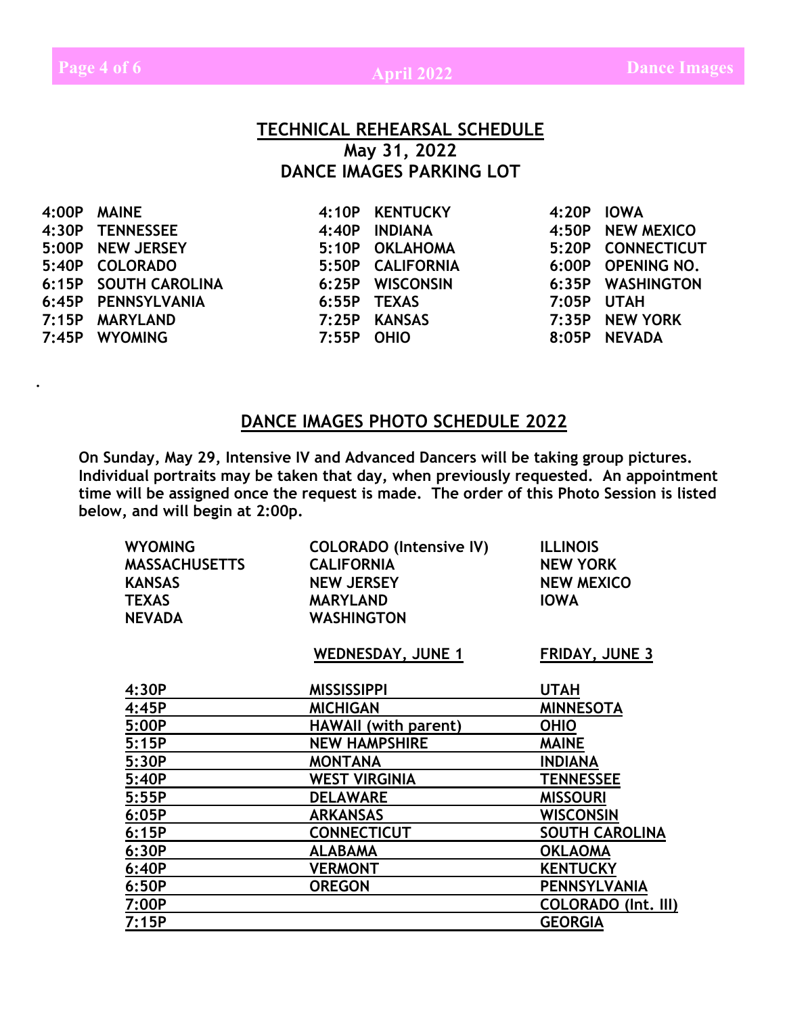#### **TECHNICAL REHEARSAL SCHEDULE May 31, 2022 DANCE IMAGES PARKING LOT**

| 4:00P MAINE          |            | 4:10P KENTUCKY   | 4:20P IOWA   |                   |
|----------------------|------------|------------------|--------------|-------------------|
| 4:30P TENNESSEE      |            | 4:40P INDIANA    |              | 4:50P NEW MEXICO  |
| 5:00P NEW JERSEY     |            | 5:10P OKLAHOMA   |              | 5:20P CONNECTICUT |
| 5:40P COLORADO       |            | 5:50P CALIFORNIA |              | 6:00P OPENING NO. |
| 6:15P SOUTH CAROLINA |            | 6:25P WISCONSIN  |              | 6:35P WASHINGTON  |
| 6:45P PENNSYLVANIA   |            | 6:55P TEXAS      | $7:05P$ UTAH |                   |
| 7:15P MARYLAND       |            | 7:25P KANSAS     |              | 7:35P NEW YORK    |
| 7:45P WYOMING        | 7:55P OHIO |                  |              | 8:05P NEVADA      |
|                      |            |                  |              |                   |

#### **DANCE IMAGES PHOTO SCHEDULE 2022**

**On Sunday, May 29, Intensive IV and Advanced Dancers will be taking group pictures. Individual portraits may be taken that day, when previously requested. An appointment time will be assigned once the request is made. The order of this Photo Session is listed below, and will begin at 2:00p.**

| <b>WYOMING</b><br><b>MASSACHUSETTS</b><br><b>KANSAS</b><br><b>TEXAS</b><br><b>NEVADA</b> | <b>COLORADO (Intensive IV)</b><br><b>CALIFORNIA</b><br><b>NEW JERSEY</b><br><b>MARYLAND</b><br><b>WASHINGTON</b> | <b>ILLINOIS</b><br><b>NEW YORK</b><br><b>NEW MEXICO</b><br><b>IOWA</b> |
|------------------------------------------------------------------------------------------|------------------------------------------------------------------------------------------------------------------|------------------------------------------------------------------------|
|                                                                                          | <b>WEDNESDAY, JUNE 1</b>                                                                                         | <b>FRIDAY, JUNE 3</b>                                                  |
|                                                                                          |                                                                                                                  |                                                                        |
| 4:30P                                                                                    | <b>MISSISSIPPI</b>                                                                                               | UTAH                                                                   |
| 4:45P                                                                                    | <b>MICHIGAN</b>                                                                                                  | <b>MINNESOTA</b>                                                       |
| 5:00P                                                                                    | <b>HAWAII</b> (with parent)                                                                                      | <b>OHIO</b>                                                            |
| 5:15P                                                                                    | <b>NEW HAMPSHIRE</b>                                                                                             | <b>MAINE</b>                                                           |
| 5:30P                                                                                    | <b>MONTANA</b>                                                                                                   | <b>INDIANA</b>                                                         |
| 5:40P                                                                                    | <b>WEST VIRGINIA</b>                                                                                             | <b>TENNESSEE</b>                                                       |
| 5:55P                                                                                    | <b>DELAWARE</b>                                                                                                  | <b>MISSOURI</b>                                                        |
| 6:05P                                                                                    | <b>ARKANSAS</b>                                                                                                  | <b>WISCONSIN</b>                                                       |
| 6:15P                                                                                    | <b>CONNECTICUT</b>                                                                                               | <b>SOUTH CAROLINA</b>                                                  |
| 6:30P                                                                                    | <b>ALABAMA</b>                                                                                                   | <b>OKLAOMA</b>                                                         |
| 6:40P                                                                                    | <b>VERMONT</b>                                                                                                   | <b>KENTUCKY</b>                                                        |
| 6:50P                                                                                    | <b>OREGON</b>                                                                                                    | <b>PENNSYLVANIA</b>                                                    |
| 7:00P                                                                                    |                                                                                                                  | <b>COLORADO (Int. III)</b>                                             |
| 7:15P                                                                                    |                                                                                                                  | <b>GEORGIA</b>                                                         |

**.**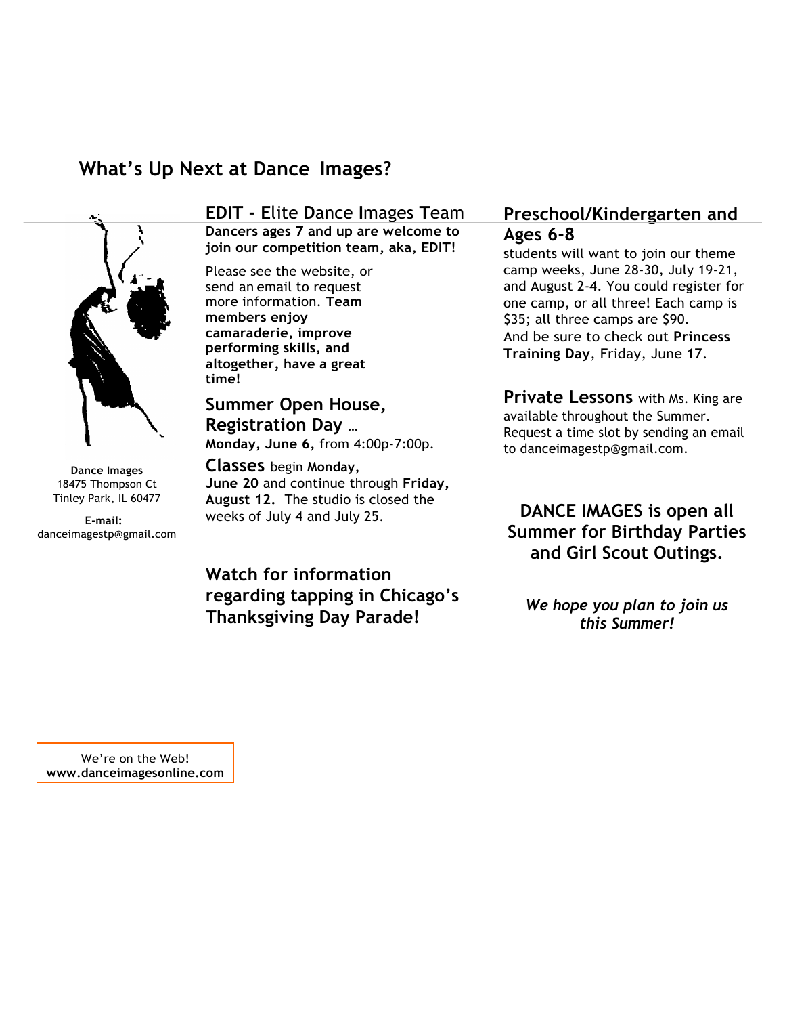# **What's Up Next at Dance Images?**



**Dance Images** 18475 Thompson Ct Tinley Park, IL 60477

**E-mail:** danceimagestp@gmail.com **EDIT - E**lite **D**ance **I**mages **T**eam **Dancers ages 7 and up are welcome to join our competition team, aka, EDIT!**

Please see the website, or send an email to request more information. **Team members enjoy camaraderie, improve performing skills, and altogether, have a great time!** 

**Summer Open House, Registration Day** … **Monday, June 6,** from 4:00p-7:00p.

**Classes** begin **Monday, June 20** and continue through **Friday, August 12.** The studio is closed the weeks of July 4 and July 25.

#### **Preschool/Kindergarten and Ages 6-8**

students will want to join our theme camp weeks, June 28-30, July 19-21, and August 2-4. You could register for one camp, or all three! Each camp is \$35; all three camps are \$90. And be sure to check out **Princess Training Day**, Friday, June 17.

**Private Lessons** with Ms. King are available throughout the Summer. Request a time slot by sending an email to danceimagestp@gmail.com.

#### **DANCE IMAGES is open all Summer for Birthday Parties and Girl Scout Outings.**

**Watch for information regarding tapping in Chicago's Thanksgiving Day Parade!**

*We hope you plan to join us this Summer!*

We're on the Web! **www.danceimagesonline.com**